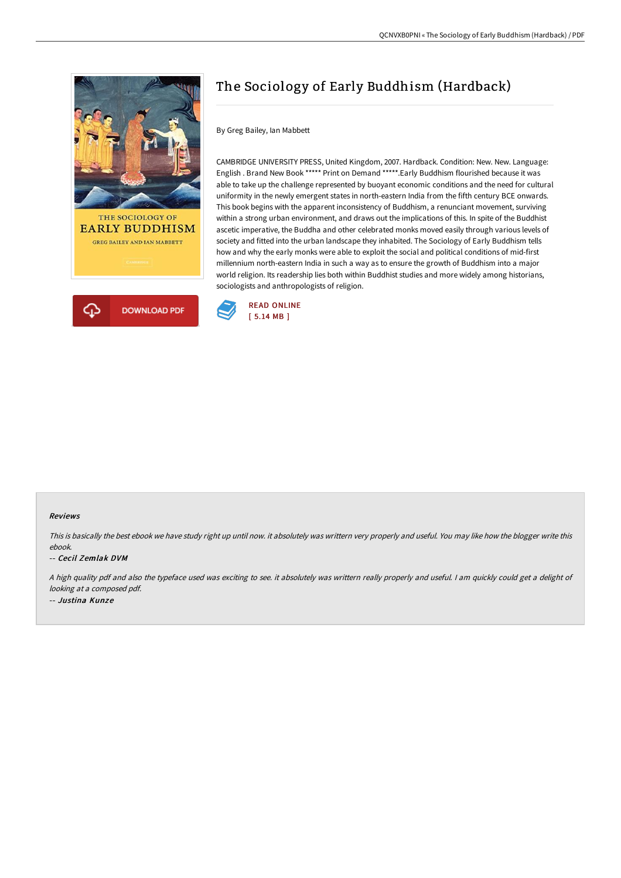



## The Sociology of Early Buddhism (Hardback)

By Greg Bailey, Ian Mabbett

CAMBRIDGE UNIVERSITY PRESS, United Kingdom, 2007. Hardback. Condition: New. New. Language: English . Brand New Book \*\*\*\*\* Print on Demand \*\*\*\*\*.Early Buddhism flourished because it was able to take up the challenge represented by buoyant economic conditions and the need for cultural uniformity in the newly emergent states in north-eastern India from the fifth century BCE onwards. This book begins with the apparent inconsistency of Buddhism, a renunciant movement, surviving within a strong urban environment, and draws out the implications of this. In spite of the Buddhist ascetic imperative, the Buddha and other celebrated monks moved easily through various levels of society and fitted into the urban landscape they inhabited. The Sociology of Early Buddhism tells how and why the early monks were able to exploit the social and political conditions of mid-first millennium north-eastern India in such a way as to ensure the growth of Buddhism into a major world religion. Its readership lies both within Buddhist studies and more widely among historians, sociologists and anthropologists of religion.



## Reviews

This is basically the best ebook we have study right up until now. it absolutely was writtern very properly and useful. You may like how the blogger write this ebook.

## -- Cecil Zemlak DVM

<sup>A</sup> high quality pdf and also the typeface used was exciting to see. it absolutely was writtern really properly and useful. <sup>I</sup> am quickly could get <sup>a</sup> delight of looking at <sup>a</sup> composed pdf. -- Justina Kunze